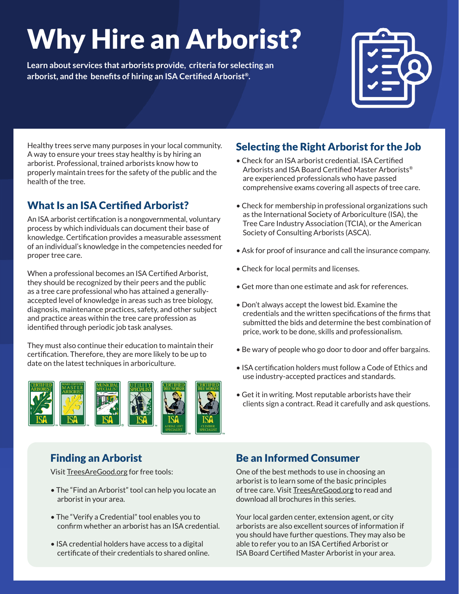# Why Hire an Arborist?

**Learn about services that arborists provide, criteria for selecting an arborist, and the benefits of hiring an ISA Certified Arborist®.**



Healthy trees serve many purposes in your local community. A way to ensure your trees stay healthy is by hiring an arborist. Professional, trained arborists know how to properly maintain trees for the safety of the public and the health of the tree.

# What Is an ISA Certified Arborist?

An ISA arborist certification is a nongovernmental, voluntary process by which individuals can document their base of knowledge. Certification provides a measurable assessment of an individual's knowledge in the competencies needed for proper tree care.

When a professional becomes an ISA Certified Arborist, they should be recognized by their peers and the public as a tree care professional who has attained a generallyaccepted level of knowledge in areas such as tree biology, diagnosis, maintenance practices, safety, and other subject and practice areas within the tree care profession as identified through periodic job task analyses.

They must also continue their education to maintain their certification. Therefore, they are more likely to be up to date on the latest techniques in arboriculture.



# Finding an Arborist

Visit [TreesAreGood.org](https://www.treesaregood.org/) for free tools:

- The "Find an Arborist" tool can help you locate an arborist in your area.
- The "Verify a Credential" tool enables you to confirm whether an arborist has an ISA credential.
- ISA credential holders have access to a digital certificate of their credentials to shared online.

# Selecting the Right Arborist for the Job

- Check for an ISA arborist credential. ISA Certified Arborists and ISA Board Certified Master Arborists® are experienced professionals who have passed comprehensive exams covering all aspects of tree care.
- Check for membership in professional organizations such as the International Society of Arboriculture (ISA), the Tree Care Industry Association (TCIA), or the American Society of Consulting Arborists (ASCA).
- Ask for proof of insurance and call the insurance company.
- Check for local permits and licenses.
- Get more than one estimate and ask for references.
- Don't always accept the lowest bid. Examine the credentials and the written specifications of the firms that submitted the bids and determine the best combination of price, work to be done, skills and professionalism.
- Be wary of people who go door to door and offer bargains.
- ISA certification holders must follow a Code of Ethics and use industry-accepted practices and standards.
- Get it in writing. Most reputable arborists have their clients sign a contract. Read it carefully and ask questions.

## Be an Informed Consumer

One of the best methods to use in choosing an arborist is to learn some of the basic principles of tree care. Visit [TreesAreGood.org](https://www.treesaregood.org/) to read and download all brochures in this series.

Your local garden center, extension agent, or city arborists are also excellent sources of information if you should have further questions. They may also be able to refer you to an ISA Certified Arborist or ISA Board Certified Master Arborist in your area.